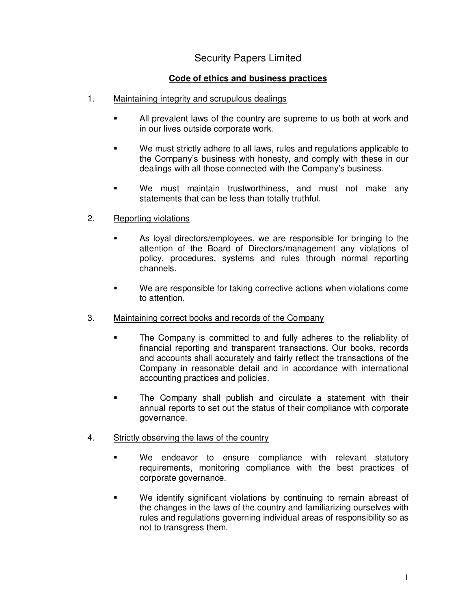## Security Papers Limited

## **Code of ethics and business practices**

- 1. Maintaining integrity and scrupulous dealings
	- All prevalent laws of the country are supreme to us both at work and in our lives outside corporate work.
	- We must strictly adhere to all laws, rules and regulations applicable to the Company's business with honesty, and comply with these in our dealings with all those connected with the Company's business.
	- We must maintain trustworthiness, and must not make any statements that can be less than totally truthful.
- 2. Reporting violations
	- As loyal directors/employees, we are responsible for bringing to the attention of the Board of Directors/management any violations of policy, procedures, systems and rules through normal reporting channels.
	- We are responsible for taking corrective actions when violations come to attention.
- 3. Maintaining correct books and records of the Company
	- The Company is committed to and fully adheres to the reliability of financial reporting and transparent transactions. Our books, records and accounts shall accurately and fairly reflect the transactions of the Company in reasonable detail and in accordance with international accounting practices and policies.
	- The Company shall publish and circulate a statement with their annual reports to set out the status of their compliance with corporate governance.
- 4. Strictly observing the laws of the country
	- We endeavor to ensure compliance with relevant statutory requirements, monitoring compliance with the best practices of corporate governance.
	- We identify significant violations by continuing to remain abreast of the changes in the laws of the country and familiarizing ourselves with rules and regulations governing individual areas of responsibility so as not to transgress them.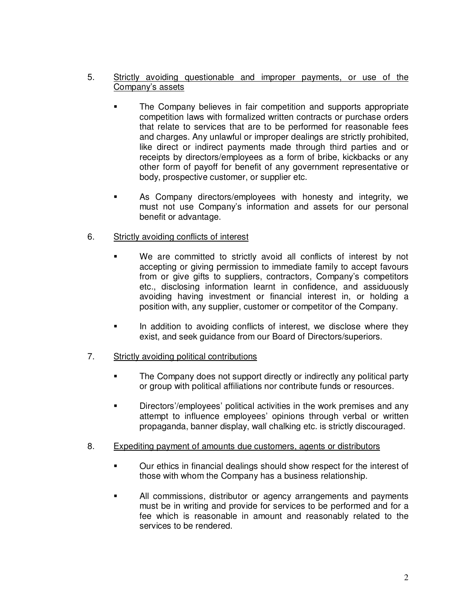## 5. Strictly avoiding questionable and improper payments, or use of the Company's assets

- The Company believes in fair competition and supports appropriate competition laws with formalized written contracts or purchase orders that relate to services that are to be performed for reasonable fees and charges. Any unlawful or improper dealings are strictly prohibited, like direct or indirect payments made through third parties and or receipts by directors/employees as a form of bribe, kickbacks or any other form of payoff for benefit of any government representative or body, prospective customer, or supplier etc.
- As Company directors/employees with honesty and integrity, we must not use Company's information and assets for our personal benefit or advantage.

## 6. Strictly avoiding conflicts of interest

- We are committed to strictly avoid all conflicts of interest by not accepting or giving permission to immediate family to accept favours from or give gifts to suppliers, contractors, Company's competitors etc., disclosing information learnt in confidence, and assiduously avoiding having investment or financial interest in, or holding a position with, any supplier, customer or competitor of the Company.
- In addition to avoiding conflicts of interest, we disclose where they exist, and seek guidance from our Board of Directors/superiors.
- 7. Strictly avoiding political contributions
	- The Company does not support directly or indirectly any political party or group with political affiliations nor contribute funds or resources.
	- **EXECT** Directors'/employees' political activities in the work premises and any attempt to influence employees' opinions through verbal or written propaganda, banner display, wall chalking etc. is strictly discouraged.
- 8. Expediting payment of amounts due customers, agents or distributors
	- Our ethics in financial dealings should show respect for the interest of those with whom the Company has a business relationship.
	- All commissions, distributor or agency arrangements and payments must be in writing and provide for services to be performed and for a fee which is reasonable in amount and reasonably related to the services to be rendered.